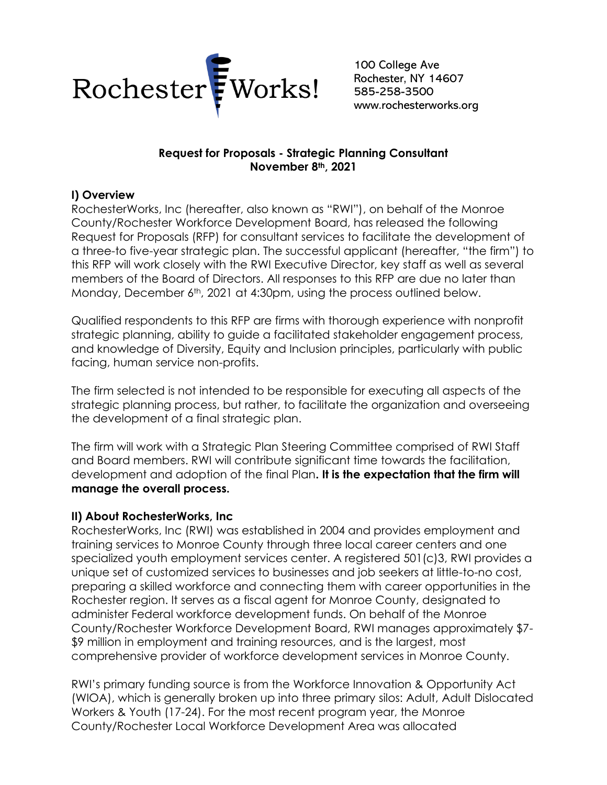

100 College Ave Rochester, NY 14607 585-258-3500 www.rochesterworks.org

### **Request for Proposals - Strategic Planning Consultant November 8th, 2021**

## **I) Overview**

RochesterWorks, Inc (hereafter, also known as "RWI"), on behalf of the Monroe County/Rochester Workforce Development Board, has released the following Request for Proposals (RFP) for consultant services to facilitate the development of a three-to five-year strategic plan. The successful applicant (hereafter, "the firm") to this RFP will work closely with the RWI Executive Director, key staff as well as several members of the Board of Directors. All responses to this RFP are due no later than Monday, December 6<sup>th</sup>, 2021 at 4:30pm, using the process outlined below.

Qualified respondents to this RFP are firms with thorough experience with nonprofit strategic planning, ability to guide a facilitated stakeholder engagement process, and knowledge of Diversity, Equity and Inclusion principles, particularly with public facing, human service non-profits.

The firm selected is not intended to be responsible for executing all aspects of the strategic planning process, but rather, to facilitate the organization and overseeing the development of a final strategic plan.

The firm will work with a Strategic Plan Steering Committee comprised of RWI Staff and Board members. RWI will contribute significant time towards the facilitation, development and adoption of the final Plan**. It is the expectation that the firm will manage the overall process.**

### **II) About RochesterWorks, Inc**

RochesterWorks, Inc (RWI) was established in 2004 and provides employment and training services to Monroe County through three local career centers and one specialized youth employment services center. A registered 501(c)3, RWI provides a unique set of customized services to businesses and job seekers at little-to-no cost, preparing a skilled workforce and connecting them with career opportunities in the Rochester region. It serves as a fiscal agent for Monroe County, designated to administer Federal workforce development funds. On behalf of the Monroe County/Rochester Workforce Development Board, RWI manages approximately \$7- \$9 million in employment and training resources, and is the largest, most comprehensive provider of workforce development services in Monroe County.

RWI's primary funding source is from the Workforce Innovation & Opportunity Act (WIOA), which is generally broken up into three primary silos: Adult, Adult Dislocated Workers & Youth (17-24). For the most recent program year, the Monroe County/Rochester Local Workforce Development Area was allocated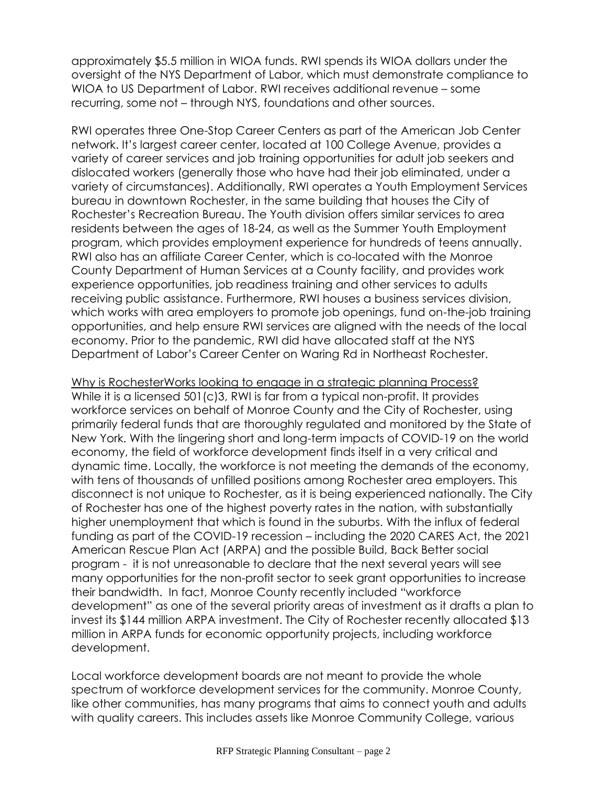approximately \$5.5 million in WIOA funds. RWI spends its WIOA dollars under the oversight of the NYS Department of Labor, which must demonstrate compliance to WIOA to US Department of Labor. RWI receives additional revenue – some recurring, some not – through NYS, foundations and other sources.

RWI operates three One-Stop Career Centers as part of the American Job Center network. It's largest career center, located at 100 College Avenue, provides a variety of career services and job training opportunities for adult job seekers and dislocated workers (generally those who have had their job eliminated, under a variety of circumstances). Additionally, RWI operates a Youth Employment Services bureau in downtown Rochester, in the same building that houses the City of Rochester's Recreation Bureau. The Youth division offers similar services to area residents between the ages of 18-24, as well as the Summer Youth Employment program, which provides employment experience for hundreds of teens annually. RWI also has an affiliate Career Center, which is co-located with the Monroe County Department of Human Services at a County facility, and provides work experience opportunities, job readiness training and other services to adults receiving public assistance. Furthermore, RWI houses a business services division, which works with area employers to promote job openings, fund on-the-job training opportunities, and help ensure RWI services are aligned with the needs of the local economy. Prior to the pandemic, RWI did have allocated staff at the NYS Department of Labor's Career Center on Waring Rd in Northeast Rochester.

Why is RochesterWorks looking to engage in a strategic planning Process? While it is a licensed  $501(c)3$ , RWI is far from a typical non-profit. It provides workforce services on behalf of Monroe County and the City of Rochester, using primarily federal funds that are thoroughly regulated and monitored by the State of New York. With the lingering short and long-term impacts of COVID-19 on the world economy, the field of workforce development finds itself in a very critical and dynamic time. Locally, the workforce is not meeting the demands of the economy, with tens of thousands of unfilled positions among Rochester area employers. This disconnect is not unique to Rochester, as it is being experienced nationally. The City of Rochester has one of the highest poverty rates in the nation, with substantially higher unemployment that which is found in the suburbs. With the influx of federal funding as part of the COVID-19 recession – including the 2020 CARES Act, the 2021 American Rescue Plan Act (ARPA) and the possible Build, Back Better social program - it is not unreasonable to declare that the next several years will see many opportunities for the non-profit sector to seek grant opportunities to increase their bandwidth. In fact, Monroe County recently included "workforce development" as one of the several priority areas of investment as it drafts a plan to invest its \$144 million ARPA investment. The City of Rochester recently allocated \$13 million in ARPA funds for economic opportunity projects, including workforce development.

Local workforce development boards are not meant to provide the whole spectrum of workforce development services for the community. Monroe County, like other communities, has many programs that aims to connect youth and adults with quality careers. This includes assets like Monroe Community College, various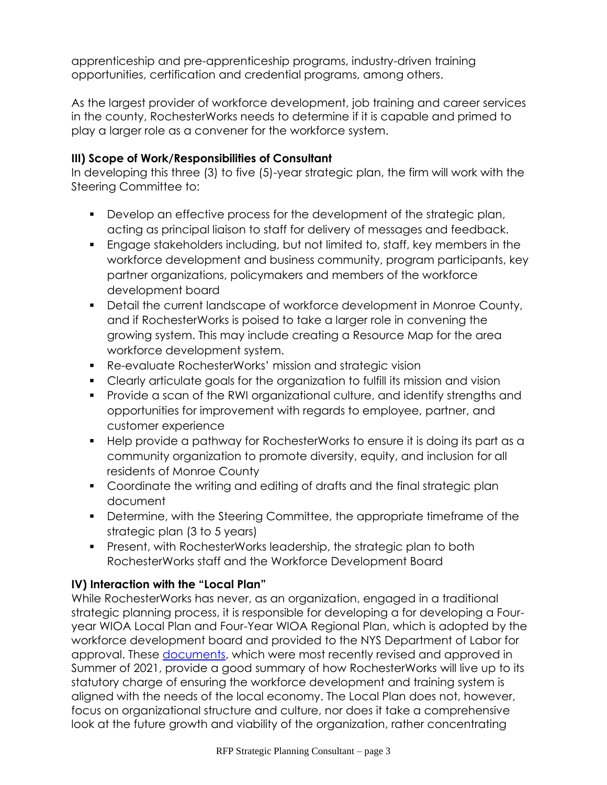apprenticeship and pre-apprenticeship programs, industry-driven training opportunities, certification and credential programs, among others.

As the largest provider of workforce development, job training and career services in the county, RochesterWorks needs to determine if it is capable and primed to play a larger role as a convener for the workforce system.

# **III) Scope of Work/Responsibilities of Consultant**

In developing this three (3) to five (5)-year strategic plan, the firm will work with the Steering Committee to:

- Develop an effective process for the development of the strategic plan, acting as principal liaison to staff for delivery of messages and feedback.
- Engage stakeholders including, but not limited to, staff, key members in the workforce development and business community, program participants, key partner organizations, policymakers and members of the workforce development board
- **•** Detail the current landscape of workforce development in Monroe County, and if RochesterWorks is poised to take a larger role in convening the growing system. This may include creating a Resource Map for the area workforce development system.
- Re-evaluate RochesterWorks' mission and strategic vision
- Clearly articulate goals for the organization to fulfill its mission and vision
- Provide a scan of the RWI organizational culture, and identify strengths and opportunities for improvement with regards to employee, partner, and customer experience
- Help provide a pathway for RochesterWorks to ensure it is doing its part as a community organization to promote diversity, equity, and inclusion for all residents of Monroe County
- Coordinate the writing and editing of drafts and the final strategic plan document
- Determine, with the Steering Committee, the appropriate timeframe of the strategic plan (3 to 5 years)
- **•** Present, with RochesterWorks leadership, the strategic plan to both RochesterWorks staff and the Workforce Development Board

# **IV) Interaction with the "Local Plan"**

While RochesterWorks has never, as an organization, engaged in a traditional strategic planning process, it is responsible for developing a for developing a Fouryear WIOA Local Plan and Four-Year WIOA Regional Plan, which is adopted by the workforce development board and provided to the NYS Department of Labor for approval. These [documents,](https://rochesterworks.org/images/Monroe_County-Rochester_Local_Plan_Web_Version_2021-2025_FINAL_8-18-2021.pdf) which were most recently revised and approved in Summer of 2021, provide a good summary of how RochesterWorks will live up to its statutory charge of ensuring the workforce development and training system is aligned with the needs of the local economy. The Local Plan does not, however, focus on organizational structure and culture, nor does it take a comprehensive look at the future growth and viability of the organization, rather concentrating